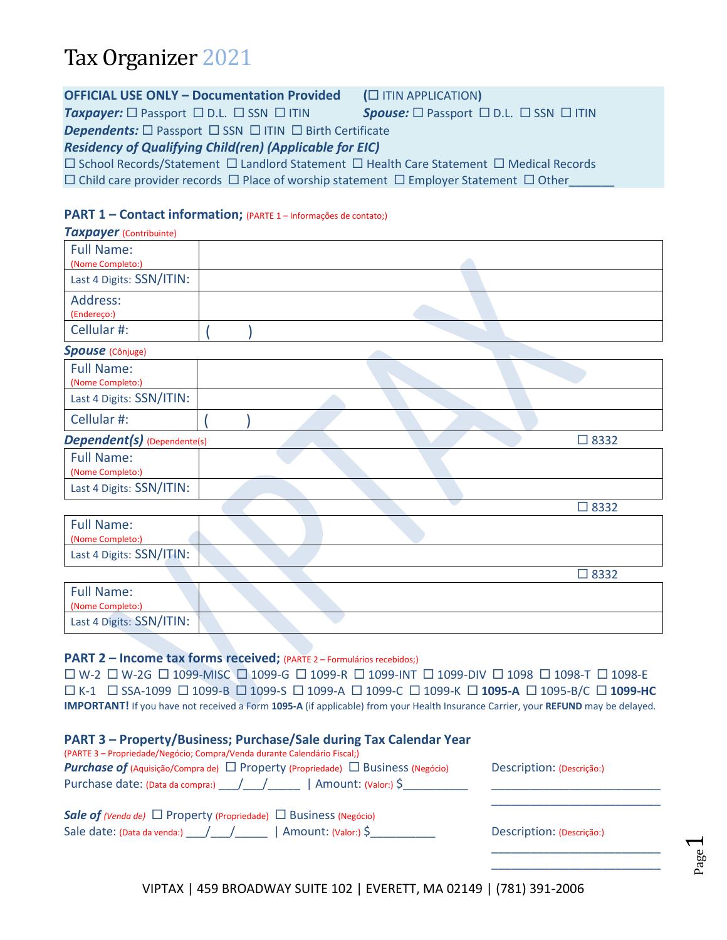## Tax Organizer 2021

| <b>OFFICIAL USE ONLY - Documentation Provided</b>                                                             | (C ITIN APPLICATION)                                                          |  |  |  |
|---------------------------------------------------------------------------------------------------------------|-------------------------------------------------------------------------------|--|--|--|
| <b>Taxpayer:</b> $\square$ Passport $\square$ D.L. $\square$ SSN $\square$ ITIN                               | <b>Spouse:</b> $\square$ Passport $\square$ D.L. $\square$ SSN $\square$ ITIN |  |  |  |
| <b>Dependents:</b> $\Box$ Passport $\Box$ SSN $\Box$ ITIN $\Box$ Birth Certificate                            |                                                                               |  |  |  |
| <b>Residency of Qualifying Child(ren) (Applicable for EIC)</b>                                                |                                                                               |  |  |  |
| $\Box$ School Records/Statement $\Box$ Landlord Statement $\Box$ Health Care Statement $\Box$ Medical Records |                                                                               |  |  |  |
| $\Box$ Child care provider records $\Box$ Place of worship statement $\Box$ Employer Statement $\Box$ Other   |                                                                               |  |  |  |
|                                                                                                               |                                                                               |  |  |  |

## **PART 1 – Contact information;** (PARTE <sup>1</sup> – Informações de contato;)

| <b>Taxpayer</b> (Contribuinte)        |                |
|---------------------------------------|----------------|
| <b>Full Name:</b><br>(Nome Completo:) |                |
| Last 4 Digits: SSN/ITIN:              |                |
| Address:<br>(Endereço:)               |                |
| Cellular #:                           |                |
| <b>Spouse</b> (Cônjuge)               |                |
| <b>Full Name:</b><br>(Nome Completo:) |                |
| Last 4 Digits: SSN/ITIN:              |                |
| Cellular #:                           |                |
| <b>Dependent(s)</b> (Dependente(s)    | $\square$ 8332 |
| <b>Full Name:</b><br>(Nome Completo:) |                |
| Last 4 Digits: SSN/ITIN:              |                |
|                                       | $\Box$ 8332    |
| <b>Full Name:</b><br>(Nome Completo:) |                |
| Last 4 Digits: SSN/ITIN:              |                |
|                                       | $\square$ 8332 |
| <b>Full Name:</b><br>(Nome Completo:) |                |

#### **PART 2 – Income tax forms received;** (PARTE 2 – Formulários recebidos;)

Last 4 Digits: SSN/ITIN:

 W-2 W-2G 1099-MISC 1099-G 1099-R 1099-INT 1099-DIV 1098 1098-T 1098-E K-1 SSA-1099 1099-B 1099-S 1099-A 1099-C 1099-K **1095-A** 1095-B/C **1099-HC IMPORTANT!** If you have not received a Form **1095-A** (if applicable) from your Health Insurance Carrier, your **REFUND** may be delayed.

| PART 3 - Property/Business; Purchase/Sale during Tax Calendar Year<br>(PARTE 3 – Propriedade/Negócio; Compra/Venda durante Calendário Fiscal;)                                                                                                                                                                                                                                                            |                           |
|-----------------------------------------------------------------------------------------------------------------------------------------------------------------------------------------------------------------------------------------------------------------------------------------------------------------------------------------------------------------------------------------------------------|---------------------------|
| <b>Purchase of</b> (Aquisição/Compra de) $\Box$ Property (Propriedade) $\Box$ Business (Negócio)                                                                                                                                                                                                                                                                                                          | Description: (Descrição:) |
| Purchase date: (Data da compra:) ____/____/______   Amount: (Valor:) \$_________                                                                                                                                                                                                                                                                                                                          |                           |
| <b>Sale of</b> (Venda de) $\Box$ Property (Propriedade) $\Box$ Business (Negócio)                                                                                                                                                                                                                                                                                                                         |                           |
| Sale date: (Data da venda:) $\frac{1}{\sqrt{1-\frac{1}{\sqrt{1-\frac{1}{\sqrt{1-\frac{1}{\sqrt{1-\frac{1}{\sqrt{1-\frac{1}{\sqrt{1-\frac{1}{\sqrt{1-\frac{1}{\sqrt{1-\frac{1}{\sqrt{1-\frac{1}{\sqrt{1-\frac{1}{\sqrt{1-\frac{1}{\sqrt{1-\frac{1}{\sqrt{1-\frac{1}{\sqrt{1-\frac{1}{\sqrt{1-\frac{1}{\sqrt{1-\frac{1}{\sqrt{1-\frac{1}{\sqrt{1-\frac{1}{\sqrt{1-\frac{1}{\sqrt{1-\frac{1}{\sqrt{1-\frac{$ | Description: (Descrição:) |
|                                                                                                                                                                                                                                                                                                                                                                                                           |                           |

VIPTAX | 459 BROADWAY SUITE 102 | EVERETT, MA 02149 | (781) 391-2006

Page  $\overline{\phantom{0}}$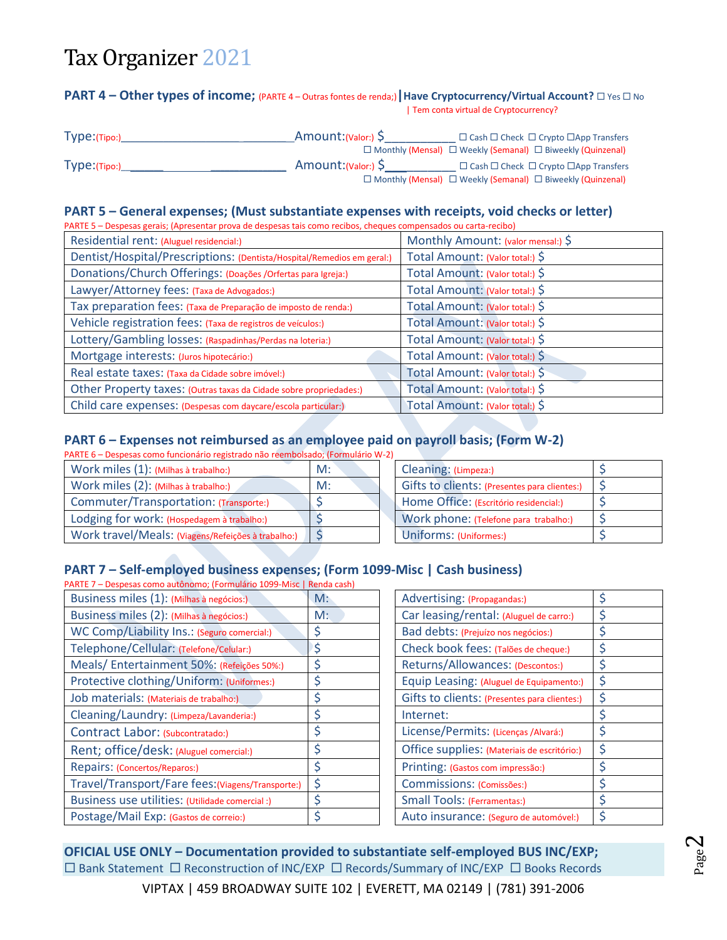# Tax Organizer 2021

#### **PART 4 − Other types of income;** (PARTE 4 – Outras fontes de renda;) | Have Cryptocurrency/Virtual Account?  $\Box$  Yes  $\Box$  No | Tem conta virtual de Cryptocurrency?

| Type: (Tipo:) | Amount: (Valor:) \$ | $\Box$ Cash $\Box$ Check $\Box$ Crypto $\Box$ App Transfers                 |
|---------------|---------------------|-----------------------------------------------------------------------------|
|               |                     | $\Box$ Monthly (Mensal) $\Box$ Weekly (Semanal) $\Box$ Biweekly (Quinzenal) |
| Type: (Tipo:) | Amount: (Valor:) S  | $\Box$ Cash $\Box$ Check $\Box$ Crypto $\Box$ App Transfers                 |
|               |                     | $\Box$ Monthly (Mensal) $\Box$ Weekly (Semanal) $\Box$ Biweekly (Quinzenal) |

### **PART 5 – General expenses; (Must substantiate expenses with receipts, void checks or letter)**

| PARTE 5 - Despesas gerais; (Apresentar prova de despesas tais como recibos, cheques compensados ou carta-recibo) |                                    |  |  |
|------------------------------------------------------------------------------------------------------------------|------------------------------------|--|--|
| Residential rent: (Aluguel residencial:)                                                                         | Monthly Amount: (valor mensal:) \$ |  |  |
| Dentist/Hospital/Prescriptions: (Dentista/Hospital/Remedios em geral:)                                           | Total Amount: (Valor total:) \$    |  |  |
| Donations/Church Offerings: (Doações / Orfertas para Igreja:)                                                    | Total Amount: (Valor total:) \$    |  |  |
| Lawyer/Attorney fees: (Taxa de Advogados:)                                                                       | Total Amount: (Valor total:) \$    |  |  |
| Tax preparation fees: (Taxa de Preparação de imposto de renda:)                                                  | Total Amount: (Valor total:) \$    |  |  |
| Vehicle registration fees: (Taxa de registros de veículos:)                                                      | Total Amount: (Valor total:) \$    |  |  |
| Lottery/Gambling losses: (Raspadinhas/Perdas na loteria:)                                                        | Total Amount: (Valor total:) \$    |  |  |
| Mortgage interests: (Juros hipotecário:)                                                                         | Total Amount: (Valor total:) \$    |  |  |
| Real estate taxes: (Taxa da Cidade sobre imóvel:)                                                                | Total Amount: (Valor total:) \$    |  |  |
| Other Property taxes: (Outras taxas da Cidade sobre propriedades:)                                               | Total Amount: (Valor total:) \$    |  |  |
| Child care expenses: (Despesas com daycare/escola particular:)                                                   | Total Amount: (Valor total:) \$    |  |  |
|                                                                                                                  |                                    |  |  |

## **PART 6 – Expenses not reimbursed as an employee paid on payroll basis; (Form W-2)**

| PARTE 6 – Despesas como funcionário registrado não reembolsado; (Formulário W-2) |    |                                              |    |
|----------------------------------------------------------------------------------|----|----------------------------------------------|----|
| Work miles (1): (Milhas à trabalho:)                                             | M: | Cleaning: (Limpeza:)                         |    |
| Work miles (2): (Milhas à trabalho:)                                             | M: | Gifts to clients: (Presentes para clientes:) | -C |
| Commuter/Transportation: (Transporte:)                                           |    | Home Office: (Escritório residencial:)       |    |
| Lodging for work: (Hospedagem à trabalho:)                                       |    | Work phone: (Telefone para trabalho:)        |    |
| Work travel/Meals: (Viagens/Refeições à trabalho:)                               |    | Uniforms: (Uniformes:)                       |    |

| Cleaning: (Limpeza:)                         |  |
|----------------------------------------------|--|
| Gifts to clients: (Presentes para clientes:) |  |
| Home Office: (Escritório residencial:)       |  |
| Work phone: (Telefone para trabalho:)        |  |
| Uniforms: (Uniformes:)                       |  |

## **PART 7 – Self-employed business expenses; (Form 1099-Misc | Cash business)**

| PARTE 7 - Despesas como autônomo; (Formulário 1099-Misc   Renda cash) |                                              |    |
|-----------------------------------------------------------------------|----------------------------------------------|----|
| $M$ :                                                                 | Advertising: (Propagandas:)                  | \$ |
| M:                                                                    | Car leasing/rental: (Aluguel de carro:)      | \$ |
|                                                                       | Bad debts: (Prejuízo nos negócios:)          | \$ |
| \$                                                                    | Check book fees: (Talões de cheque:)         | \$ |
| Ş                                                                     | Returns/Allowances: (Descontos:)             | \$ |
|                                                                       | Equip Leasing: (Aluguel de Equipamento:)     | \$ |
|                                                                       | Gifts to clients: (Presentes para clientes:) | \$ |
|                                                                       | Internet:                                    | \$ |
|                                                                       | License/Permits: (Licenças / Alvará:)        | \$ |
| \$                                                                    | Office supplies: (Materiais de escritório:)  | \$ |
|                                                                       | Printing: (Gastos com impressão:)            | \$ |
| \$                                                                    | Commissions: (Comissões:)                    | \$ |
|                                                                       | <b>Small Tools: (Ferramentas:)</b>           | \$ |
|                                                                       | Auto insurance: (Seguro de automóvel:)       | \$ |
|                                                                       |                                              |    |

| Advertising: (Propagandas:)                  | \$ |
|----------------------------------------------|----|
| Car leasing/rental: (Aluguel de carro:)      | \$ |
| Bad debts: (Prejuízo nos negócios:)          | \$ |
| Check book fees: (Talões de cheque:)         | \$ |
| Returns/Allowances: (Descontos:)             | \$ |
| Equip Leasing: (Aluguel de Equipamento:)     | \$ |
| Gifts to clients: (Presentes para clientes:) | \$ |
| Internet:                                    | \$ |
| License/Permits: (Licenças / Alvará:)        | \$ |
| Office supplies: (Materiais de escritório:)  | \$ |
| Printing: (Gastos com impressão:)            | \$ |
| Commissions: (Comissões:)                    | \$ |
| <b>Small Tools: (Ferramentas:)</b>           | \$ |
| Auto insurance: (Seguro de automóvel:)       | \$ |

**OFICIAL USE ONLY – Documentation provided to substantiate self-employed BUS INC/EXP;**  $\Box$  Bank Statement  $\Box$  Reconstruction of INC/EXP  $\Box$  Records/Summary of INC/EXP  $\Box$  Books Records

VIPTAX | 459 BROADWAY SUITE 102 | EVERETT, MA 02149 | (781) 391-2006